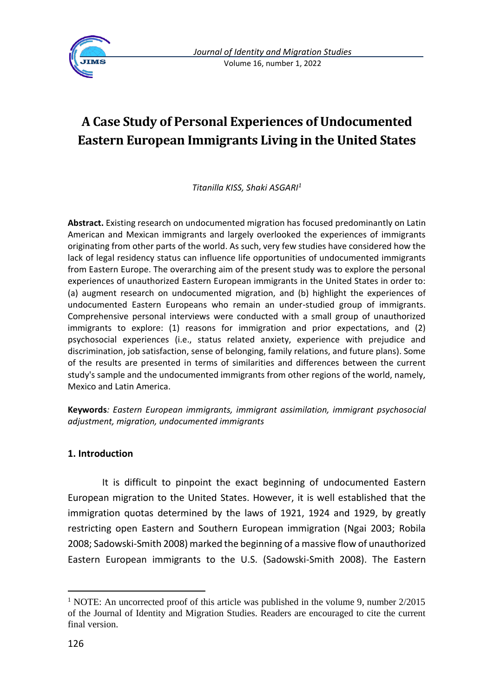

# **A Case Study of Personal Experiences of Undocumented Eastern European Immigrants Living in the United States**

*Titanilla KISS, Shaki ASGARI<sup>1</sup>*

**Abstract.** Existing research on undocumented migration has focused predominantly on Latin American and Mexican immigrants and largely overlooked the experiences of immigrants originating from other parts of the world. As such, very few studies have considered how the lack of legal residency status can influence life opportunities of undocumented immigrants from Eastern Europe. The overarching aim of the present study was to explore the personal experiences of unauthorized Eastern European immigrants in the United States in order to: (a) augment research on undocumented migration, and (b) highlight the experiences of undocumented Eastern Europeans who remain an under-studied group of immigrants. Comprehensive personal interviews were conducted with a small group of unauthorized immigrants to explore: (1) reasons for immigration and prior expectations, and (2) psychosocial experiences (i.e., status related anxiety, experience with prejudice and discrimination, job satisfaction, sense of belonging, family relations, and future plans). Some of the results are presented in terms of similarities and differences between the current study's sample and the undocumented immigrants from other regions of the world, namely, Mexico and Latin America.

**Keywords***: Eastern European immigrants, immigrant assimilation, immigrant psychosocial adjustment, migration, undocumented immigrants*

### **1. Introduction**

It is difficult to pinpoint the exact beginning of undocumented Eastern European migration to the United States. However, it is well established that the immigration quotas determined by the laws of 1921, 1924 and 1929, by greatly restricting open Eastern and Southern European immigration (Ngai 2003; Robila 2008; Sadowski-Smith 2008) marked the beginning of a massive flow of unauthorized Eastern European immigrants to the U.S. (Sadowski-Smith 2008). The Eastern

<sup>&</sup>lt;sup>1</sup> NOTE: An uncorrected proof of this article was published in the volume 9, number 2/2015 of the Journal of Identity and Migration Studies. Readers are encouraged to cite the current final version.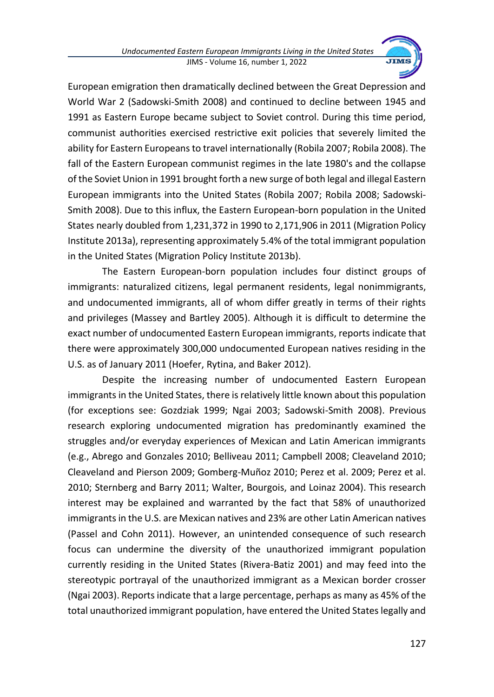

European emigration then dramatically declined between the Great Depression and World War 2 (Sadowski-Smith 2008) and continued to decline between 1945 and 1991 as Eastern Europe became subject to Soviet control. During this time period, communist authorities exercised restrictive exit policies that severely limited the ability for Eastern Europeans to travel internationally (Robila 2007; Robila 2008). The fall of the Eastern European communist regimes in the late 1980's and the collapse of the Soviet Union in 1991 brought forth a new surge of both legal and illegal Eastern European immigrants into the United States (Robila 2007; Robila 2008; Sadowski-Smith 2008). Due to this influx, the Eastern European-born population in the United States nearly doubled from 1,231,372 in 1990 to 2,171,906 in 2011 (Migration Policy Institute 2013a), representing approximately 5.4% of the total immigrant population in the United States (Migration Policy Institute 2013b).

The Eastern European-born population includes four distinct groups of immigrants: naturalized citizens, legal permanent residents, legal nonimmigrants, and undocumented immigrants, all of whom differ greatly in terms of their rights and privileges (Massey and Bartley 2005). Although it is difficult to determine the exact number of undocumented Eastern European immigrants, reports indicate that there were approximately 300,000 undocumented European natives residing in the U.S. as of January 2011 (Hoefer, Rytina, and Baker 2012).

Despite the increasing number of undocumented Eastern European immigrants in the United States, there is relatively little known about this population (for exceptions see: Gozdziak 1999; Ngai 2003; Sadowski-Smith 2008). Previous research exploring undocumented migration has predominantly examined the struggles and/or everyday experiences of Mexican and Latin American immigrants (e.g., Abrego and Gonzales 2010; Belliveau 2011; Campbell 2008; Cleaveland 2010; Cleaveland and Pierson 2009; Gomberg-Muñoz 2010; Perez et al. 2009; Perez et al. 2010; Sternberg and Barry 2011; Walter, Bourgois, and Loinaz 2004). This research interest may be explained and warranted by the fact that 58% of unauthorized immigrants in the U.S. are Mexican natives and 23% are other Latin American natives (Passel and Cohn 2011). However, an unintended consequence of such research focus can undermine the diversity of the unauthorized immigrant population currently residing in the United States (Rivera-Batiz 2001) and may feed into the stereotypic portrayal of the unauthorized immigrant as a Mexican border crosser (Ngai 2003). Reports indicate that a large percentage, perhaps as many as 45% of the total unauthorized immigrant population, have entered the United States legally and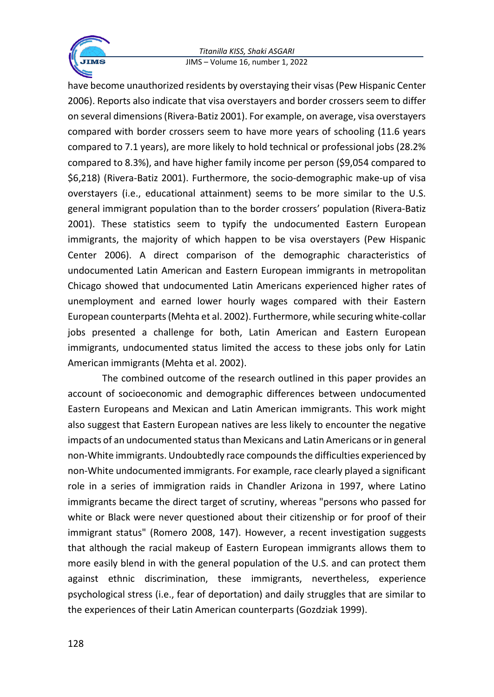

have become unauthorized residents by overstaying their visas (Pew Hispanic Center 2006). Reports also indicate that visa overstayers and border crossers seem to differ on several dimensions(Rivera-Batiz 2001). For example, on average, visa overstayers compared with border crossers seem to have more years of schooling (11.6 years compared to 7.1 years), are more likely to hold technical or professional jobs (28.2% compared to 8.3%), and have higher family income per person (\$9,054 compared to \$6,218) (Rivera-Batiz 2001). Furthermore, the socio-demographic make-up of visa overstayers (i.e., educational attainment) seems to be more similar to the U.S. general immigrant population than to the border crossers' population (Rivera-Batiz 2001). These statistics seem to typify the undocumented Eastern European immigrants, the majority of which happen to be visa overstayers (Pew Hispanic Center 2006). A direct comparison of the demographic characteristics of undocumented Latin American and Eastern European immigrants in metropolitan Chicago showed that undocumented Latin Americans experienced higher rates of unemployment and earned lower hourly wages compared with their Eastern European counterparts (Mehta et al. 2002). Furthermore, while securing white-collar jobs presented a challenge for both, Latin American and Eastern European immigrants, undocumented status limited the access to these jobs only for Latin American immigrants (Mehta et al. 2002).

The combined outcome of the research outlined in this paper provides an account of socioeconomic and demographic differences between undocumented Eastern Europeans and Mexican and Latin American immigrants. This work might also suggest that Eastern European natives are less likely to encounter the negative impacts of an undocumented status than Mexicans and Latin Americans or in general non-White immigrants. Undoubtedly race compounds the difficulties experienced by non-White undocumented immigrants. For example, race clearly played a significant role in a series of immigration raids in Chandler Arizona in 1997, where Latino immigrants became the direct target of scrutiny, whereas "persons who passed for white or Black were never questioned about their citizenship or for proof of their immigrant status" (Romero 2008, 147). However, a recent investigation suggests that although the racial makeup of Eastern European immigrants allows them to more easily blend in with the general population of the U.S. and can protect them against ethnic discrimination, these immigrants, nevertheless, experience psychological stress (i.e., fear of deportation) and daily struggles that are similar to the experiences of their Latin American counterparts (Gozdziak 1999).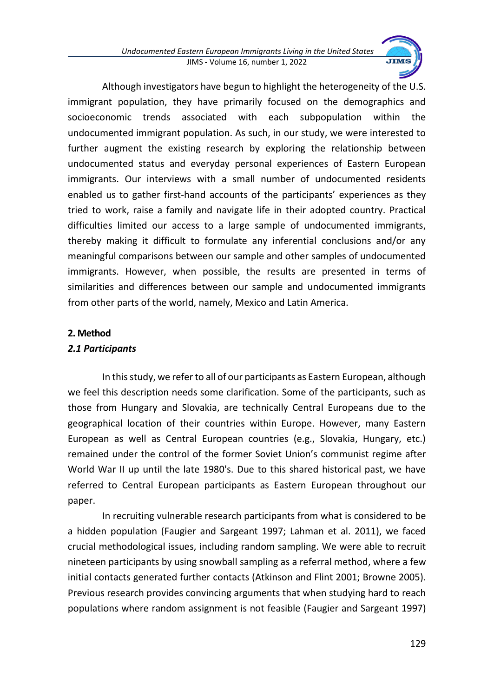

Although investigators have begun to highlight the heterogeneity of the U.S. immigrant population, they have primarily focused on the demographics and socioeconomic trends associated with each subpopulation within the undocumented immigrant population. As such, in our study, we were interested to further augment the existing research by exploring the relationship between undocumented status and everyday personal experiences of Eastern European immigrants. Our interviews with a small number of undocumented residents enabled us to gather first-hand accounts of the participants' experiences as they tried to work, raise a family and navigate life in their adopted country. Practical difficulties limited our access to a large sample of undocumented immigrants, thereby making it difficult to formulate any inferential conclusions and/or any meaningful comparisons between our sample and other samples of undocumented immigrants. However, when possible, the results are presented in terms of similarities and differences between our sample and undocumented immigrants from other parts of the world, namely, Mexico and Latin America.

### **2. Method**

### *2.1 Participants*

In this study, we refer to all of our participants as Eastern European, although we feel this description needs some clarification. Some of the participants, such as those from Hungary and Slovakia, are technically Central Europeans due to the geographical location of their countries within Europe. However, many Eastern European as well as Central European countries (e.g., Slovakia, Hungary, etc.) remained under the control of the former Soviet Union's communist regime after World War II up until the late 1980's. Due to this shared historical past, we have referred to Central European participants as Eastern European throughout our paper.

In recruiting vulnerable research participants from what is considered to be a hidden population (Faugier and Sargeant 1997; Lahman et al. 2011), we faced crucial methodological issues, including random sampling. We were able to recruit nineteen participants by using snowball sampling as a referral method, where a few initial contacts generated further contacts (Atkinson and Flint 2001; Browne 2005). Previous research provides convincing arguments that when studying hard to reach populations where random assignment is not feasible (Faugier and Sargeant 1997)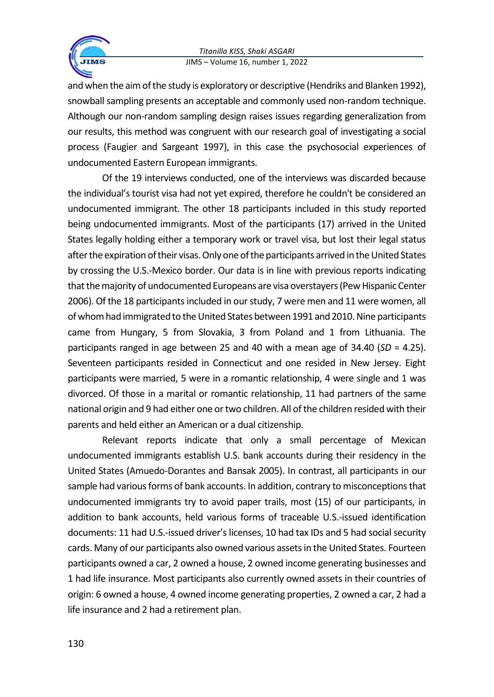

and when the aim of the study is exploratory or descriptive (Hendriks and Blanken 1992), snowball sampling presents an acceptable and commonly used non-random technique. Although our non-random sampling design raises issues regarding generalization from our results, this method was congruent with our research goal of investigating a social process (Faugier and Sargeant 1997), in this case the psychosocial experiences of undocumented Eastern European immigrants.

Of the 19 interviews conducted, one of the interviews was discarded because the individual's tourist visa had not yet expired, therefore he couldn't be considered an undocumented immigrant. The other 18 participants included in this study reported being undocumented immigrants. Most of the participants (17) arrived in the United States legally holding either a temporary work or travel visa, but lost their legal status after the expiration of their visas. Only one of the participants arrived in the United States by crossing the U.S.-Mexico border. Our data is in line with previous reports indicating that the majority of undocumented Europeans are visa overstayers (Pew Hispanic Center 2006). Of the 18 participants included in our study, 7 were men and 11 were women, all of whom had immigrated to the United States between 1991 and 2010. Nine participants came from Hungary, 5 from Slovakia, 3 from Poland and 1 from Lithuania. The participants ranged in age between 25 and 40 with a mean age of 34.40 (*SD* = 4.25). Seventeen participants resided in Connecticut and one resided in New Jersey. Eight participants were married, 5 were in a romantic relationship, 4 were single and 1 was divorced. Of those in a marital or romantic relationship, 11 had partners of the same national origin and 9 had either one or two children. All of the children resided with their parents and held either an American or a dual citizenship.

Relevant reports indicate that only a small percentage of Mexican undocumented immigrants establish U.S. bank accounts during their residency in the United States (Amuedo-Dorantes and Bansak 2005). In contrast, all participants in our sample had various forms of bank accounts. In addition, contrary to misconceptions that undocumented immigrants try to avoid paper trails, most (15) of our participants, in addition to bank accounts, held various forms of traceable U.S.-issued identification documents: 11 had U.S.-issued driver's licenses, 10 had tax IDs and 5 had social security cards. Many of our participants also owned various assets in the United States. Fourteen participants owned a car, 2 owned a house, 2 owned income generating businesses and 1 had life insurance. Most participants also currently owned assets in their countries of origin: 6 owned a house, 4 owned income generating properties, 2 owned a car, 2 had a life insurance and 2 had a retirement plan.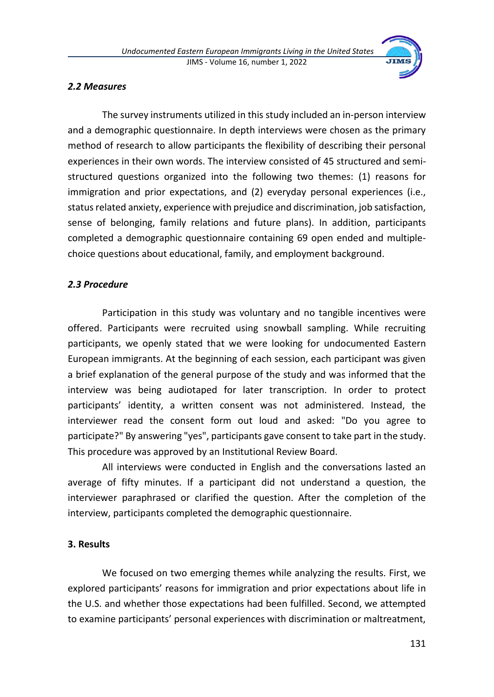

### *2.2 Measures*

The survey instruments utilized in this study included an in-person interview and a demographic questionnaire. In depth interviews were chosen as the primary method of research to allow participants the flexibility of describing their personal experiences in their own words. The interview consisted of 45 structured and semistructured questions organized into the following two themes: (1) reasons for immigration and prior expectations, and (2) everyday personal experiences (i.e., status related anxiety, experience with prejudice and discrimination, job satisfaction, sense of belonging, family relations and future plans). In addition, participants completed a demographic questionnaire containing 69 open ended and multiplechoice questions about educational, family, and employment background.

### *2.3 Procedure*

Participation in this study was voluntary and no tangible incentives were offered. Participants were recruited using snowball sampling. While recruiting participants, we openly stated that we were looking for undocumented Eastern European immigrants. At the beginning of each session, each participant was given a brief explanation of the general purpose of the study and was informed that the interview was being audiotaped for later transcription. In order to protect participants' identity, a written consent was not administered. Instead, the interviewer read the consent form out loud and asked: "Do you agree to participate?" By answering "yes", participants gave consent to take part in the study. This procedure was approved by an Institutional Review Board.

All interviews were conducted in English and the conversations lasted an average of fifty minutes. If a participant did not understand a question, the interviewer paraphrased or clarified the question. After the completion of the interview, participants completed the demographic questionnaire.

### **3. Results**

We focused on two emerging themes while analyzing the results. First, we explored participants' reasons for immigration and prior expectations about life in the U.S. and whether those expectations had been fulfilled. Second, we attempted to examine participants' personal experiences with discrimination or maltreatment,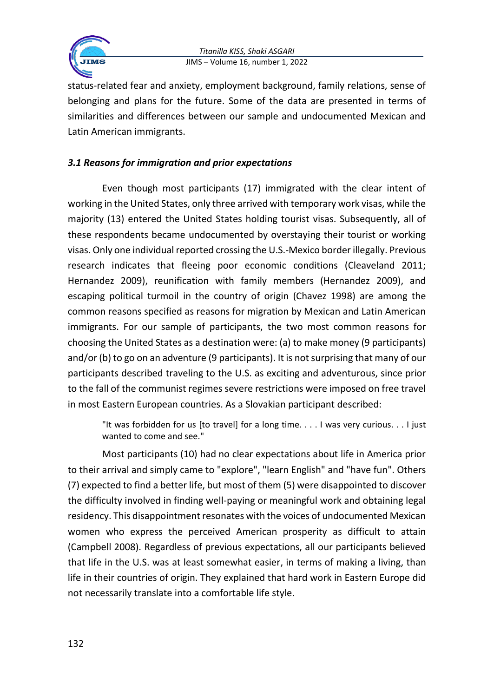

status-related fear and anxiety, employment background, family relations, sense of belonging and plans for the future. Some of the data are presented in terms of similarities and differences between our sample and undocumented Mexican and Latin American immigrants.

# *3.1 Reasons for immigration and prior expectations*

Even though most participants (17) immigrated with the clear intent of working in the United States, only three arrived with temporary work visas, while the majority (13) entered the United States holding tourist visas. Subsequently, all of these respondents became undocumented by overstaying their tourist or working visas. Only one individual reported crossing the U.S.-Mexico border illegally. Previous research indicates that fleeing poor economic conditions (Cleaveland 2011; Hernandez 2009), reunification with family members (Hernandez 2009), and escaping political turmoil in the country of origin (Chavez 1998) are among the common reasons specified as reasons for migration by Mexican and Latin American immigrants. For our sample of participants, the two most common reasons for choosing the United States as a destination were: (a) to make money (9 participants) and/or (b) to go on an adventure (9 participants). It is not surprising that many of our participants described traveling to the U.S. as exciting and adventurous, since prior to the fall of the communist regimes severe restrictions were imposed on free travel in most Eastern European countries. As a Slovakian participant described:

"It was forbidden for us [to travel] for a long time. . . . I was very curious. . . I just wanted to come and see."

Most participants (10) had no clear expectations about life in America prior to their arrival and simply came to "explore", "learn English" and "have fun". Others (7) expected to find a better life, but most of them (5) were disappointed to discover the difficulty involved in finding well-paying or meaningful work and obtaining legal residency. This disappointment resonates with the voices of undocumented Mexican women who express the perceived American prosperity as difficult to attain (Campbell 2008). Regardless of previous expectations, all our participants believed that life in the U.S. was at least somewhat easier, in terms of making a living, than life in their countries of origin. They explained that hard work in Eastern Europe did not necessarily translate into a comfortable life style.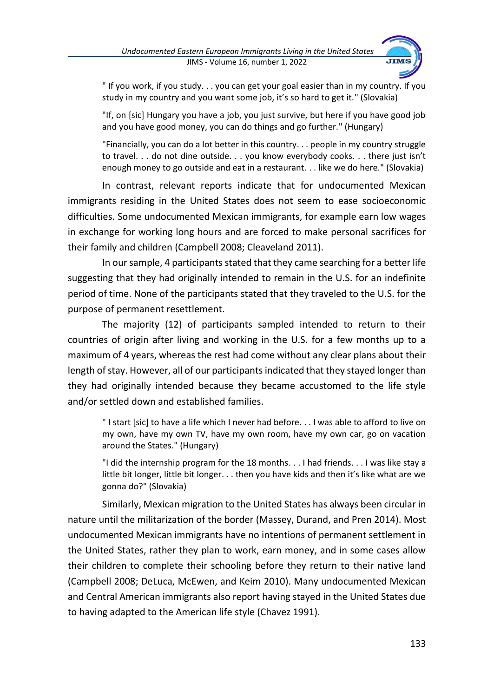

" If you work, if you study. . . you can get your goal easier than in my country. If you study in my country and you want some job, it's so hard to get it." (Slovakia)

"If, on [sic] Hungary you have a job, you just survive, but here if you have good job and you have good money, you can do things and go further." (Hungary)

"Financially, you can do a lot better in this country. . . people in my country struggle to travel. . . do not dine outside. . . you know everybody cooks. . . there just isn't enough money to go outside and eat in a restaurant. . . like we do here." (Slovakia)

In contrast, relevant reports indicate that for undocumented Mexican immigrants residing in the United States does not seem to ease socioeconomic difficulties. Some undocumented Mexican immigrants, for example earn low wages in exchange for working long hours and are forced to make personal sacrifices for their family and children (Campbell 2008; Cleaveland 2011).

In our sample, 4 participants stated that they came searching for a better life suggesting that they had originally intended to remain in the U.S. for an indefinite period of time. None of the participants stated that they traveled to the U.S. for the purpose of permanent resettlement.

The majority (12) of participants sampled intended to return to their countries of origin after living and working in the U.S. for a few months up to a maximum of 4 years, whereas the rest had come without any clear plans about their length of stay. However, all of our participants indicated that they stayed longer than they had originally intended because they became accustomed to the life style and/or settled down and established families.

" I start [sic] to have a life which I never had before. . . I was able to afford to live on my own, have my own TV, have my own room, have my own car, go on vacation around the States." (Hungary)

"I did the internship program for the 18 months. . . I had friends. . . I was like stay a little bit longer, little bit longer. . . then you have kids and then it's like what are we gonna do?" (Slovakia)

Similarly, Mexican migration to the United States has always been circular in nature until the militarization of the border (Massey, Durand, and Pren 2014). Most undocumented Mexican immigrants have no intentions of permanent settlement in the United States, rather they plan to work, earn money, and in some cases allow their children to complete their schooling before they return to their native land (Campbell 2008; DeLuca, McEwen, and Keim 2010). Many undocumented Mexican and Central American immigrants also report having stayed in the United States due to having adapted to the American life style (Chavez 1991).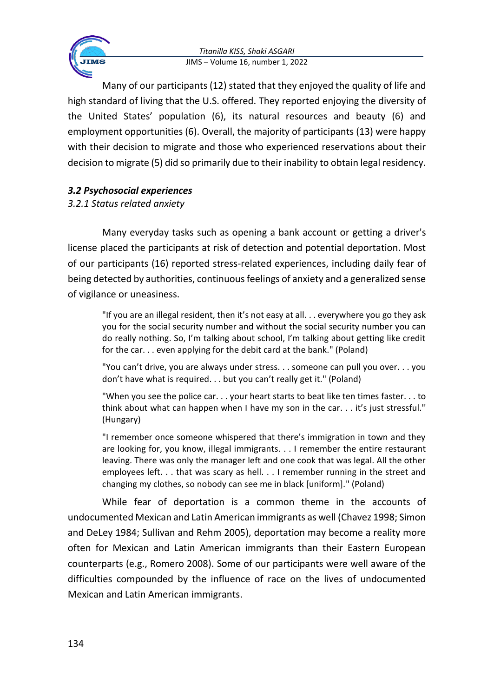

Many of our participants (12) stated that they enjoyed the quality of life and high standard of living that the U.S. offered. They reported enjoying the diversity of the United States' population (6), its natural resources and beauty (6) and employment opportunities (6). Overall, the majority of participants (13) were happy with their decision to migrate and those who experienced reservations about their decision to migrate (5) did so primarily due to their inability to obtain legal residency.

# *3.2 Psychosocial experiences*

# *3.2.1 Status related anxiety*

Many everyday tasks such as opening a bank account or getting a driver's license placed the participants at risk of detection and potential deportation. Most of our participants (16) reported stress-related experiences, including daily fear of being detected by authorities, continuous feelings of anxiety and a generalized sense of vigilance or uneasiness.

"If you are an illegal resident, then it's not easy at all. . . everywhere you go they ask you for the social security number and without the social security number you can do really nothing. So, I'm talking about school, I'm talking about getting like credit for the car. . . even applying for the debit card at the bank." (Poland)

"You can't drive, you are always under stress. . . someone can pull you over. . . you don't have what is required. . . but you can't really get it." (Poland)

"When you see the police car. . . your heart starts to beat like ten times faster. . . to think about what can happen when I have my son in the car. . . it's just stressful.'' (Hungary)

"I remember once someone whispered that there's immigration in town and they are looking for, you know, illegal immigrants. . . I remember the entire restaurant leaving. There was only the manager left and one cook that was legal. All the other employees left. . . that was scary as hell. . . I remember running in the street and changing my clothes, so nobody can see me in black [uniform]." (Poland)

While fear of deportation is a common theme in the accounts of undocumented Mexican and Latin American immigrants as well (Chavez 1998; Simon and DeLey 1984; Sullivan and Rehm 2005), deportation may become a reality more often for Mexican and Latin American immigrants than their Eastern European counterparts (e.g., Romero 2008). Some of our participants were well aware of the difficulties compounded by the influence of race on the lives of undocumented Mexican and Latin American immigrants.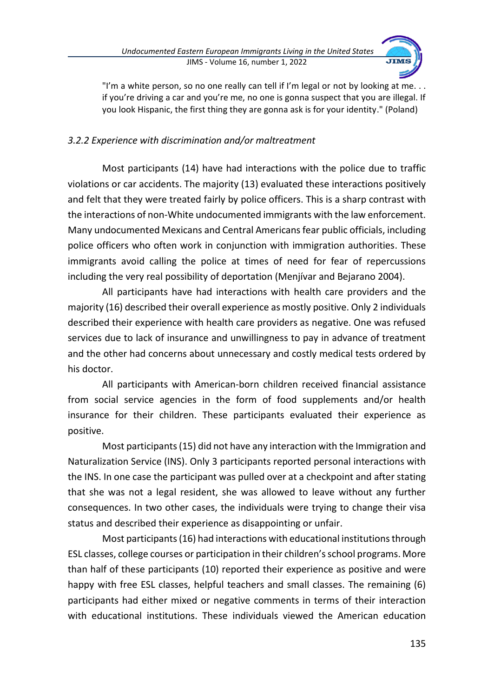

"I'm a white person, so no one really can tell if I'm legal or not by looking at me. . . if you're driving a car and you're me, no one is gonna suspect that you are illegal. If you look Hispanic, the first thing they are gonna ask is for your identity." (Poland)

# *3.2.2 Experience with discrimination and/or maltreatment*

Most participants (14) have had interactions with the police due to traffic violations or car accidents. The majority (13) evaluated these interactions positively and felt that they were treated fairly by police officers. This is a sharp contrast with the interactions of non-White undocumented immigrants with the law enforcement. Many undocumented Mexicans and Central Americans fear public officials, including police officers who often work in conjunction with immigration authorities. These immigrants avoid calling the police at times of need for fear of repercussions including the very real possibility of deportation (Menjívar and Bejarano 2004).

All participants have had interactions with health care providers and the majority (16) described their overall experience as mostly positive. Only 2 individuals described their experience with health care providers as negative. One was refused services due to lack of insurance and unwillingness to pay in advance of treatment and the other had concerns about unnecessary and costly medical tests ordered by his doctor.

All participants with American-born children received financial assistance from social service agencies in the form of food supplements and/or health insurance for their children. These participants evaluated their experience as positive.

Most participants (15) did not have any interaction with the Immigration and Naturalization Service (INS). Only 3 participants reported personal interactions with the INS. In one case the participant was pulled over at a checkpoint and after stating that she was not a legal resident, she was allowed to leave without any further consequences. In two other cases, the individuals were trying to change their visa status and described their experience as disappointing or unfair.

Most participants (16) had interactions with educational institutions through ESL classes, college courses or participation in their children's school programs. More than half of these participants (10) reported their experience as positive and were happy with free ESL classes, helpful teachers and small classes. The remaining (6) participants had either mixed or negative comments in terms of their interaction with educational institutions. These individuals viewed the American education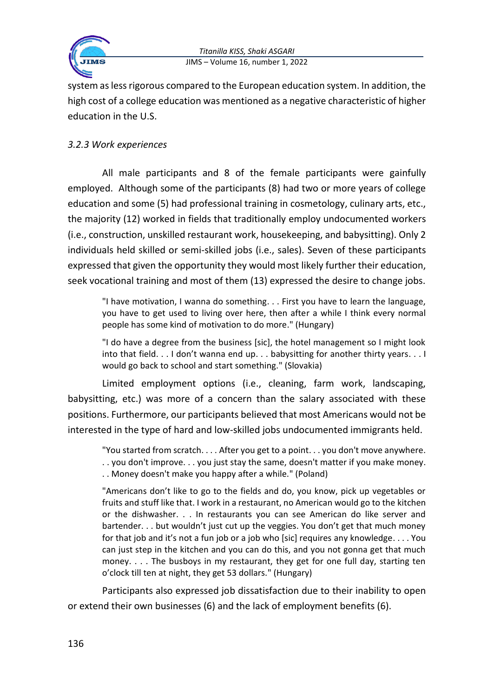

system as less rigorous compared to the European education system. In addition, the high cost of a college education was mentioned as a negative characteristic of higher education in the U.S.

# *3.2.3 Work experiences*

All male participants and 8 of the female participants were gainfully employed. Although some of the participants (8) had two or more years of college education and some (5) had professional training in cosmetology, culinary arts, etc., the majority (12) worked in fields that traditionally employ undocumented workers (i.e., construction, unskilled restaurant work, housekeeping, and babysitting). Only 2 individuals held skilled or semi-skilled jobs (i.e., sales). Seven of these participants expressed that given the opportunity they would most likely further their education, seek vocational training and most of them (13) expressed the desire to change jobs.

"I have motivation, I wanna do something. . . First you have to learn the language, you have to get used to living over here, then after a while I think every normal people has some kind of motivation to do more." (Hungary)

"I do have a degree from the business [sic], the hotel management so I might look into that field. . . I don't wanna end up. . . babysitting for another thirty years. . . I would go back to school and start something." (Slovakia)

Limited employment options (i.e., cleaning, farm work, landscaping, babysitting, etc.) was more of a concern than the salary associated with these positions. Furthermore, our participants believed that most Americans would not be interested in the type of hard and low-skilled jobs undocumented immigrants held.

"You started from scratch. . . . After you get to a point. . . you don't move anywhere. . . you don't improve. . . you just stay the same, doesn't matter if you make money. . . Money doesn't make you happy after a while." (Poland)

"Americans don't like to go to the fields and do, you know, pick up vegetables or fruits and stuff like that. I work in a restaurant, no American would go to the kitchen or the dishwasher. . . In restaurants you can see American do like server and bartender. . . but wouldn't just cut up the veggies. You don't get that much money for that job and it's not a fun job or a job who [sic] requires any knowledge. . . . You can just step in the kitchen and you can do this, and you not gonna get that much money. . . . The busboys in my restaurant, they get for one full day, starting ten o'clock till ten at night, they get 53 dollars." (Hungary)

Participants also expressed job dissatisfaction due to their inability to open or extend their own businesses (6) and the lack of employment benefits (6).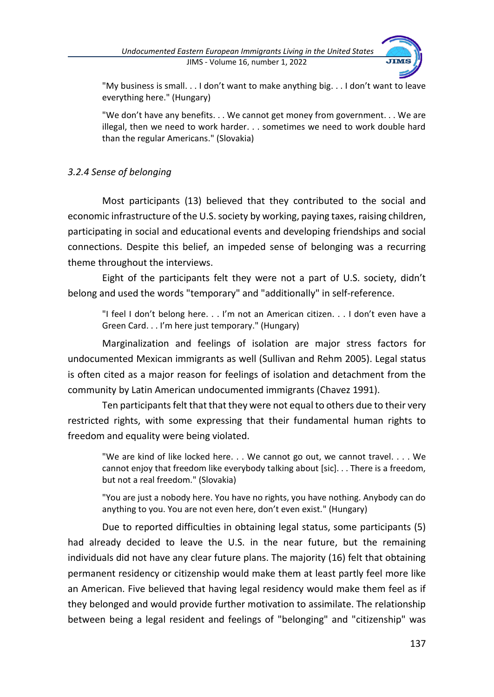

"My business is small. . . I don't want to make anything big. . . I don't want to leave everything here." (Hungary)

"We don't have any benefits. . . We cannot get money from government. . . We are illegal, then we need to work harder. . . sometimes we need to work double hard than the regular Americans." (Slovakia)

# *3.2.4 Sense of belonging*

Most participants (13) believed that they contributed to the social and economic infrastructure of the U.S. society by working, paying taxes, raising children, participating in social and educational events and developing friendships and social connections. Despite this belief, an impeded sense of belonging was a recurring theme throughout the interviews.

Eight of the participants felt they were not a part of U.S. society, didn't belong and used the words "temporary" and "additionally" in self-reference.

"I feel I don't belong here. . . I'm not an American citizen. . . I don't even have a Green Card. . . I'm here just temporary." (Hungary)

Marginalization and feelings of isolation are major stress factors for undocumented Mexican immigrants as well (Sullivan and Rehm 2005). Legal status is often cited as a major reason for feelings of isolation and detachment from the community by Latin American undocumented immigrants (Chavez 1991).

Ten participants felt that that they were not equal to others due to their very restricted rights, with some expressing that their fundamental human rights to freedom and equality were being violated.

"We are kind of like locked here. . . We cannot go out, we cannot travel. . . . We cannot enjoy that freedom like everybody talking about [sic]. . . There is a freedom, but not a real freedom." (Slovakia)

"You are just a nobody here. You have no rights, you have nothing. Anybody can do anything to you. You are not even here, don't even exist." (Hungary)

Due to reported difficulties in obtaining legal status, some participants (5) had already decided to leave the U.S. in the near future, but the remaining individuals did not have any clear future plans. The majority (16) felt that obtaining permanent residency or citizenship would make them at least partly feel more like an American. Five believed that having legal residency would make them feel as if they belonged and would provide further motivation to assimilate. The relationship between being a legal resident and feelings of "belonging" and "citizenship" was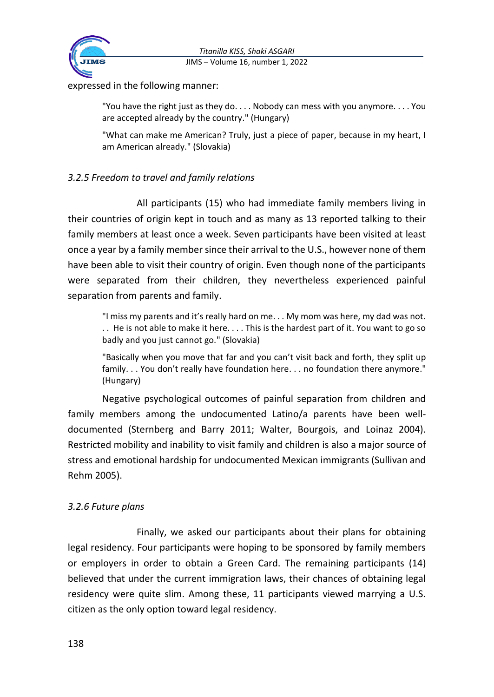



expressed in the following manner:

"You have the right just as they do. . . . Nobody can mess with you anymore. . . . You are accepted already by the country." (Hungary)

"What can make me American? Truly, just a piece of paper, because in my heart, I am American already." (Slovakia)

# *3.2.5 Freedom to travel and family relations*

All participants (15) who had immediate family members living in their countries of origin kept in touch and as many as 13 reported talking to their family members at least once a week. Seven participants have been visited at least once a year by a family member since their arrival to the U.S., however none of them have been able to visit their country of origin. Even though none of the participants were separated from their children, they nevertheless experienced painful separation from parents and family.

"I miss my parents and it's really hard on me. . . My mom was here, my dad was not. . . He is not able to make it here. . . . This is the hardest part of it. You want to go so badly and you just cannot go." (Slovakia)

"Basically when you move that far and you can't visit back and forth, they split up family. . . You don't really have foundation here. . . no foundation there anymore." (Hungary)

Negative psychological outcomes of painful separation from children and family members among the undocumented Latino/a parents have been welldocumented (Sternberg and Barry 2011; Walter, Bourgois, and Loinaz 2004). Restricted mobility and inability to visit family and children is also a major source of stress and emotional hardship for undocumented Mexican immigrants (Sullivan and Rehm 2005).

# *3.2.6 Future plans*

Finally, we asked our participants about their plans for obtaining legal residency. Four participants were hoping to be sponsored by family members or employers in order to obtain a Green Card. The remaining participants (14) believed that under the current immigration laws, their chances of obtaining legal residency were quite slim. Among these, 11 participants viewed marrying a U.S. citizen as the only option toward legal residency.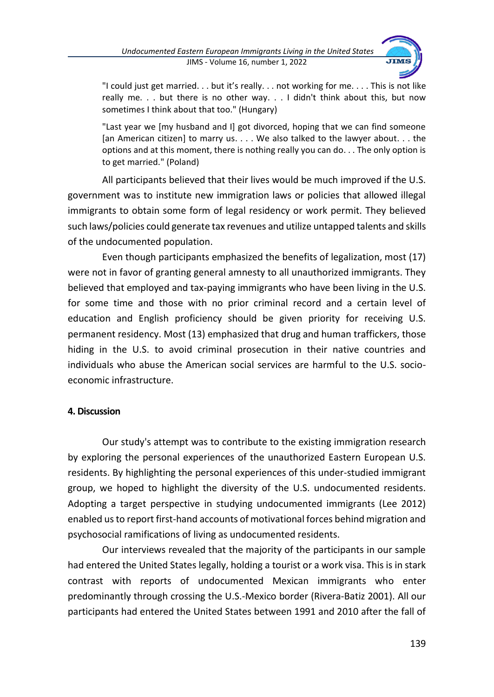

"I could just get married. . . but it's really. . . not working for me. . . . This is not like really me. . . but there is no other way. . . I didn't think about this, but now sometimes I think about that too." (Hungary)

"Last year we [my husband and I] got divorced, hoping that we can find someone [an American citizen] to marry us. . . . We also talked to the lawyer about. . . the options and at this moment, there is nothing really you can do. . . The only option is to get married." (Poland)

All participants believed that their lives would be much improved if the U.S. government was to institute new immigration laws or policies that allowed illegal immigrants to obtain some form of legal residency or work permit. They believed such laws/policies could generate tax revenues and utilize untapped talents and skills of the undocumented population.

Even though participants emphasized the benefits of legalization, most (17) were not in favor of granting general amnesty to all unauthorized immigrants. They believed that employed and tax-paying immigrants who have been living in the U.S. for some time and those with no prior criminal record and a certain level of education and English proficiency should be given priority for receiving U.S. permanent residency. Most (13) emphasized that drug and human traffickers, those hiding in the U.S. to avoid criminal prosecution in their native countries and individuals who abuse the American social services are harmful to the U.S. socioeconomic infrastructure.

### **4. Discussion**

Our study's attempt was to contribute to the existing immigration research by exploring the personal experiences of the unauthorized Eastern European U.S. residents. By highlighting the personal experiences of this under-studied immigrant group, we hoped to highlight the diversity of the U.S. undocumented residents. Adopting a target perspective in studying undocumented immigrants (Lee 2012) enabled us to report first-hand accounts of motivational forces behind migration and psychosocial ramifications of living as undocumented residents.

Our interviews revealed that the majority of the participants in our sample had entered the United States legally, holding a tourist or a work visa. This is in stark contrast with reports of undocumented Mexican immigrants who enter predominantly through crossing the U.S.-Mexico border (Rivera-Batiz 2001). All our participants had entered the United States between 1991 and 2010 after the fall of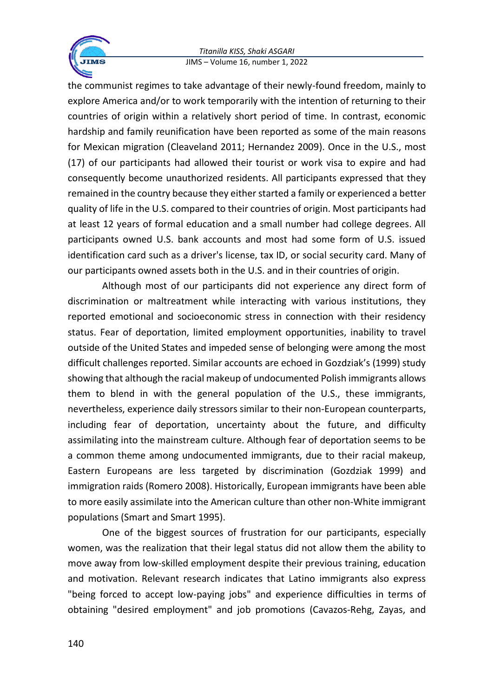

the communist regimes to take advantage of their newly-found freedom, mainly to explore America and/or to work temporarily with the intention of returning to their countries of origin within a relatively short period of time. In contrast, economic hardship and family reunification have been reported as some of the main reasons for Mexican migration (Cleaveland 2011; Hernandez 2009). Once in the U.S., most (17) of our participants had allowed their tourist or work visa to expire and had consequently become unauthorized residents. All participants expressed that they remained in the country because they either started a family or experienced a better quality of life in the U.S. compared to their countries of origin. Most participants had at least 12 years of formal education and a small number had college degrees. All participants owned U.S. bank accounts and most had some form of U.S. issued identification card such as a driver's license, tax ID, or social security card. Many of our participants owned assets both in the U.S. and in their countries of origin.

Although most of our participants did not experience any direct form of discrimination or maltreatment while interacting with various institutions, they reported emotional and socioeconomic stress in connection with their residency status. Fear of deportation, limited employment opportunities, inability to travel outside of the United States and impeded sense of belonging were among the most difficult challenges reported. Similar accounts are echoed in Gozdziak's (1999) study showing that although the racial makeup of undocumented Polish immigrants allows them to blend in with the general population of the U.S., these immigrants, nevertheless, experience daily stressors similar to their non-European counterparts, including fear of deportation, uncertainty about the future, and difficulty assimilating into the mainstream culture. Although fear of deportation seems to be a common theme among undocumented immigrants, due to their racial makeup, Eastern Europeans are less targeted by discrimination (Gozdziak 1999) and immigration raids (Romero 2008). Historically, European immigrants have been able to more easily assimilate into the American culture than other non-White immigrant populations (Smart and Smart 1995).

One of the biggest sources of frustration for our participants, especially women, was the realization that their legal status did not allow them the ability to move away from low-skilled employment despite their previous training, education and motivation. Relevant research indicates that Latino immigrants also express "being forced to accept low-paying jobs" and experience difficulties in terms of obtaining "desired employment" and job promotions (Cavazos-Rehg, Zayas, and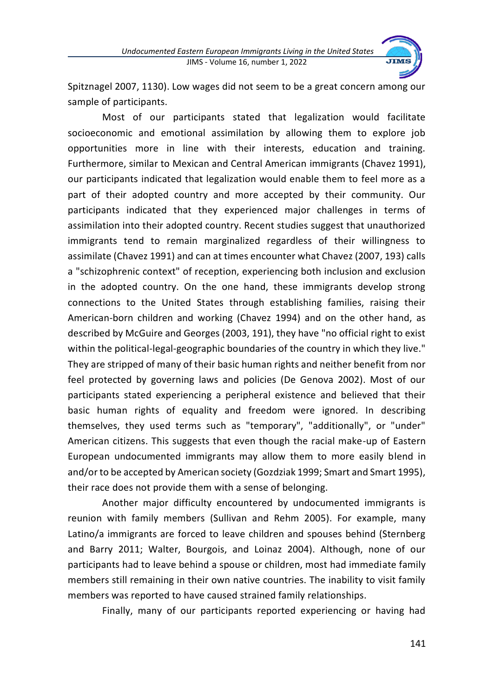

Spitznagel 2007, 1130). Low wages did not seem to be a great concern among our sample of participants.

Most of our participants stated that legalization would facilitate socioeconomic and emotional assimilation by allowing them to explore job opportunities more in line with their interests, education and training. Furthermore, similar to Mexican and Central American immigrants (Chavez 1991), our participants indicated that legalization would enable them to feel more as a part of their adopted country and more accepted by their community. Our participants indicated that they experienced major challenges in terms of assimilation into their adopted country. Recent studies suggest that unauthorized immigrants tend to remain marginalized regardless of their willingness to assimilate (Chavez 1991) and can at times encounter what Chavez (2007, 193) calls a "schizophrenic context" of reception, experiencing both inclusion and exclusion in the adopted country. On the one hand, these immigrants develop strong connections to the United States through establishing families, raising their American-born children and working (Chavez 1994) and on the other hand, as described by McGuire and Georges (2003, 191), they have "no official right to exist within the political-legal-geographic boundaries of the country in which they live." They are stripped of many of their basic human rights and neither benefit from nor feel protected by governing laws and policies (De Genova 2002). Most of our participants stated experiencing a peripheral existence and believed that their basic human rights of equality and freedom were ignored. In describing themselves, they used terms such as "temporary", "additionally", or "under" American citizens. This suggests that even though the racial make-up of Eastern European undocumented immigrants may allow them to more easily blend in and/or to be accepted by American society (Gozdziak 1999; Smart and Smart 1995), their race does not provide them with a sense of belonging.

Another major difficulty encountered by undocumented immigrants is reunion with family members (Sullivan and Rehm 2005). For example, many Latino/a immigrants are forced to leave children and spouses behind (Sternberg and Barry 2011; Walter, Bourgois, and Loinaz 2004). Although, none of our participants had to leave behind a spouse or children, most had immediate family members still remaining in their own native countries. The inability to visit family members was reported to have caused strained family relationships.

Finally, many of our participants reported experiencing or having had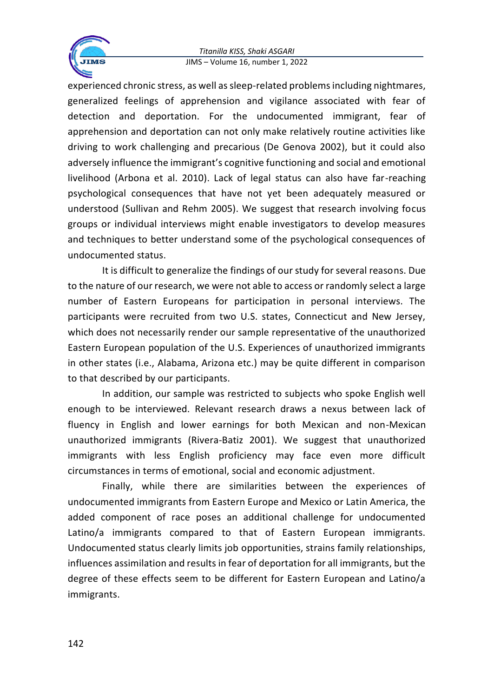

experienced chronic stress, as well as sleep-related problems including nightmares, generalized feelings of apprehension and vigilance associated with fear of detection and deportation. For the undocumented immigrant, fear of apprehension and deportation can not only make relatively routine activities like driving to work challenging and precarious (De Genova 2002), but it could also adversely influence the immigrant's cognitive functioning and social and emotional livelihood (Arbona et al. 2010). Lack of legal status can also have far-reaching psychological consequences that have not yet been adequately measured or understood (Sullivan and Rehm 2005). We suggest that research involving focus groups or individual interviews might enable investigators to develop measures and techniques to better understand some of the psychological consequences of undocumented status.

It is difficult to generalize the findings of our study for several reasons. Due to the nature of our research, we were not able to access or randomly select a large number of Eastern Europeans for participation in personal interviews. The participants were recruited from two U.S. states, Connecticut and New Jersey, which does not necessarily render our sample representative of the unauthorized Eastern European population of the U.S. Experiences of unauthorized immigrants in other states (i.e., Alabama, Arizona etc.) may be quite different in comparison to that described by our participants.

In addition, our sample was restricted to subjects who spoke English well enough to be interviewed. Relevant research draws a nexus between lack of fluency in English and lower earnings for both Mexican and non-Mexican unauthorized immigrants (Rivera-Batiz 2001). We suggest that unauthorized immigrants with less English proficiency may face even more difficult circumstances in terms of emotional, social and economic adjustment.

Finally, while there are similarities between the experiences of undocumented immigrants from Eastern Europe and Mexico or Latin America, the added component of race poses an additional challenge for undocumented Latino/a immigrants compared to that of Eastern European immigrants. Undocumented status clearly limits job opportunities, strains family relationships, influences assimilation and results in fear of deportation for all immigrants, but the degree of these effects seem to be different for Eastern European and Latino/a immigrants.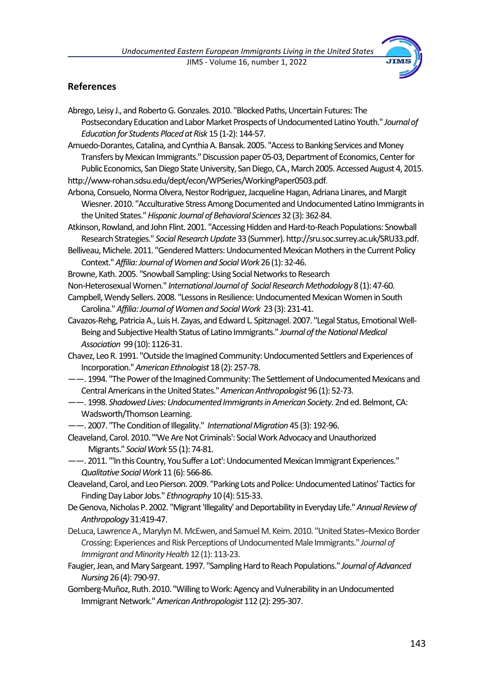

### **References**

- Abrego, Leisy J., and Roberto G. Gonzales. 2010. "Blocked Paths, Uncertain Futures: The Postsecondary Education and Labor Market Prospects of Undocumented Latino Youth." *Journal of Education for Students Placed at Risk* 15 (1-2): 144-57.
- Amuedo-Dorantes, Catalina, and Cynthia A. Bansak. 2005. "Access to Banking Services and Money Transfers by Mexican Immigrants." Discussion paper 05-03, Department of Economics, Center for Public Economics, San Diego State University, San Diego, CA., March 2005. Accessed August 4, 2015. http://www-rohan.sdsu.edu/dept/econ/WPSeries/WorkingPaper0503.pdf.
- Arbona, Consuelo, Norma Olvera, Nestor Rodriguez, Jacqueline Hagan, Adriana Linares, andMargit Wiesner. 2010. "Acculturative Stress Among Documented and Undocumented Latino Immigrants in theUnited States."*Hispanic Journal of Behavioral Sciences* 32(3): 362-84.
- Atkinson, Rowland, and John Flint. 2001. "Accessing Hidden and Hard-to-Reach Populations: Snowball Research Strategies." *Social Research Update* 33(Summer). http://sru.soc.surrey.ac.uk/SRU33.pdf.
- Belliveau, Michele. 2011. "Gendered Matters: Undocumented Mexican Mothers in the Current Policy Context."*Affilia: Journal of Women and Social Work* 26 (1): 32-46.
- Browne, Kath. 2005. "Snowball Sampling: Using Social Networks to Research
- Non-HeterosexualWomen." *International Journal of Social Research Methodology*8 (1): 47-60.
- Campbell, Wendy Sellers. 2008. "Lessons in Resilience:Undocumented Mexican Women in South Carolina."*Affilia: Journal of Women and Social Work* 23 (3): 231-41.
- Cavazos-Rehg, Patricia A., Luis H. Zayas, and Edward L. Spitznagel. 2007. "Legal Status, Emotional Well-Being and Subjective Health Status of Latino Immigrants." *Journal of the National Medical Association* 99(10): 1126-31.
- Chavez, Leo R. 1991. "Outside the Imagined Community: Undocumented Settlers and Experiences of Incorporation."*American Ethnologist* 18 (2): 257-78.
- ——. 1994. "The Power of the Imagined Community: The Settlement of Undocumented Mexicans and Central Americans in the United States."*American Anthropologist*96 (1): 52-73.
- $--$ . 1998. Shadowed Lives: Undocumented Immigrants in American Society. 2nd ed. Belmont, CA: Wadsworth/Thomson Learning.
- ——. 2007. "The Condition of Illegality." *International Migration* 45(3): 192-96.
- Cleaveland, Carol. 2010. "'We Are Not Criminals': Social Work Advocacy and Unauthorized Migrants." *Social Work* 55 (1): 74-81.
- ——. 2011. "'In this Country, You Suffer a Lot': Undocumented Mexican Immigrant Experiences." *Qualitative Social Work* 11 (6): 566-86.
- Cleaveland, Carol, and Leo Pierson. 2009. "Parking Lots and Police: Undocumented Latinos' Tactics for Finding Day Labor Jobs." *Ethnography* 10 (4): 515-33.
- De Genova, Nicholas P. 2002. "Migrant 'Illegality' and Deportability in Everyday Life." Annual Review of *Anthropology*31:419-47.
- DeLuca, LawrenceA., Marylyn M. McEwen, and Samuel M.Keim. 2010. "United States–Mexico Border Crossing: Experiences and Risk Perceptions of Undocumented Male Immigrants." *Journal of Immigrant and Minority Health*12 (1): 113-23.
- Faugier, Jean, andMary Sargeant. 1997. "Sampling Hard to Reach Populations." *Journal of Advanced Nursing* 26 (4): 790-97.
- Gomberg-Muñoz, Ruth. 2010. "Willing to Work: Agency and Vulnerability in an Undocumented Immigrant Network."*American Anthropologist* 112 (2): 295-307.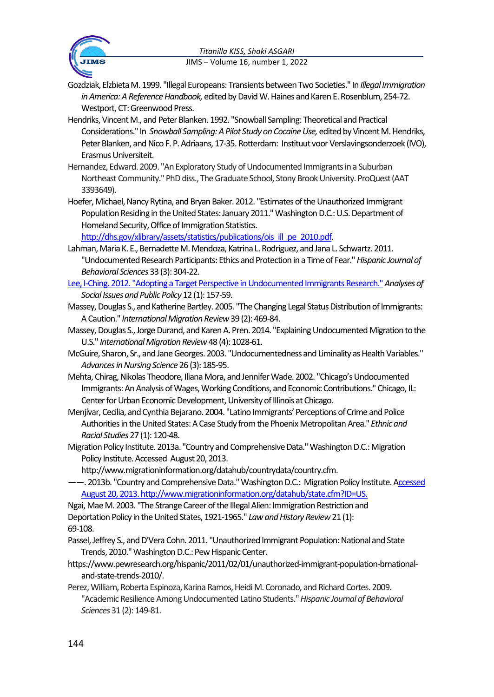

Gozdziak, ElzbietaM. 1999. "Illegal Europeans: Transients between Two Societies." In *Illegal Immigration*  in America: A Reference Handbook, edited by David W. Haines and Karen E. Rosenblum, 254-72. Westport, CT: Greenwood Press.

- Hendriks, Vincent M., and Peter Blanken. 1992. "Snowball Sampling: Theoretical and Practical Considerations." In *Snowball Sampling:A Pilot Study on CocaineUse,* edited byVincent M. Hendriks, Peter Blanken, and Nico F. P. Adriaans, 17-35. Rotterdam: Instituut voor Verslavingsonderzoek (IVO), Erasmus Universiteit.
- Hernandez, Edward. 2009. "An Exploratory Study of Undocumented Immigrants in a Suburban Northeast Community." PhD diss., The Graduate School, Stony Brook University. ProQuest (AAT 3393649).
- Hoefer, Michael, Nancy Rytina, and Bryan Baker. 2012. "Estimates of the Unauthorized Immigrant Population Residing in the United States: January 2011." Washington D.C.: U.S. Department of Homeland Security, Office of Immigration Statistics.

[http://dhs.gov/xlibrary/assets/statistics/publications/ois\\_ill\\_pe\\_2010.pdf.](http://dhs.gov/xlibrary/assets/statistics/publications/ois_ill_pe_2010.pdf)

- Lahman, Maria K. E., Bernadette M. Mendoza, Katrina L. Rodriguez, and Jana L. Schwartz. 2011. "Undocumented Research Participants: Ethics and Protection in a Time of Fear."*Hispanic Journal of Behavioral Sciences*33 (3): 304-22.
- Lee, I-Ching. 2012. "Adopting a Target Perspective in Undocumented Immigrants Research."*Analyses of Social Issues and Public Policy* 12 (1): 157-59.
- Massey, Douglas S., and Katherine Bartley. 2005. "The Changing Legal Status Distribution of Immigrants: A Caution." *International Migration Review*39 (2): 469-84.
- Massey, Douglas S., Jorge Durand, and Karen A. Pren. 2014. "Explaining Undocumented Migration to the U.S." *International Migration Review*48 (4): 1028-61.
- McGuire, Sharon, Sr., and Jane Georges. 2003. "Undocumentedness and Liminality as Health Variables." *Advances in Nursing Science* 26 (3): 185-95.
- Mehta, Chirag, Nikolas Theodore, Iliana Mora, and Jennifer Wade. 2002. "Chicago's Undocumented Immigrants: An Analysis of Wages, Working Conditions, and Economic Contributions."Chicago, IL: Center for Urban Economic Development, University of Illinois at Chicago.
- Menjívar, Cecilia, and Cynthia Bejarano. 2004. "Latino Immigrants' Perceptions of Crime and Police Authorities in the United States: A Case Study from the Phoenix Metropolitan Area." *Ethnic and Racial Studies* 27 (1): 120-48.
- Migration Policy Institute. 2013a. "Country and Comprehensive Data." Washington D.C.: Migration Policy Institute. Accessed August 20, 2013.

http://www.migrationinformation.org/datahub/countrydata/country.cfm.

-- 2013b. "Country and Comprehensive Data." Washington D.C.: Migration Policy Institute. Accessed August 20, 2013. http://www.migrationinformation.org/datahub/state.cfm?ID=US.

Ngai, Mae M. 2003. "The Strange Career of the Illegal Alien: Immigration Restriction and Deportation Policy in the United States, 1921-1965." *Law and History Review* 21 (1):

69-108.

- Passel, Jeffrey S., and D'Vera Cohn. 2011. "Unauthorized Immigrant Population: National and State Trends, 2010."Washington D.C.: Pew Hispanic Center.
- https://www.pewresearch.org/hispanic/2011/02/01/unauthorized-immigrant-population-brnationaland-state-trends-2010/.
- Perez, William, Roberta Espinoza, Karina Ramos, Heidi M. Coronado, and Richard Cortes. 2009. "Academic Resilience Among Undocumented Latino Students."*Hispanic Journal of Behavioral Sciences* 31 (2): 149-81.